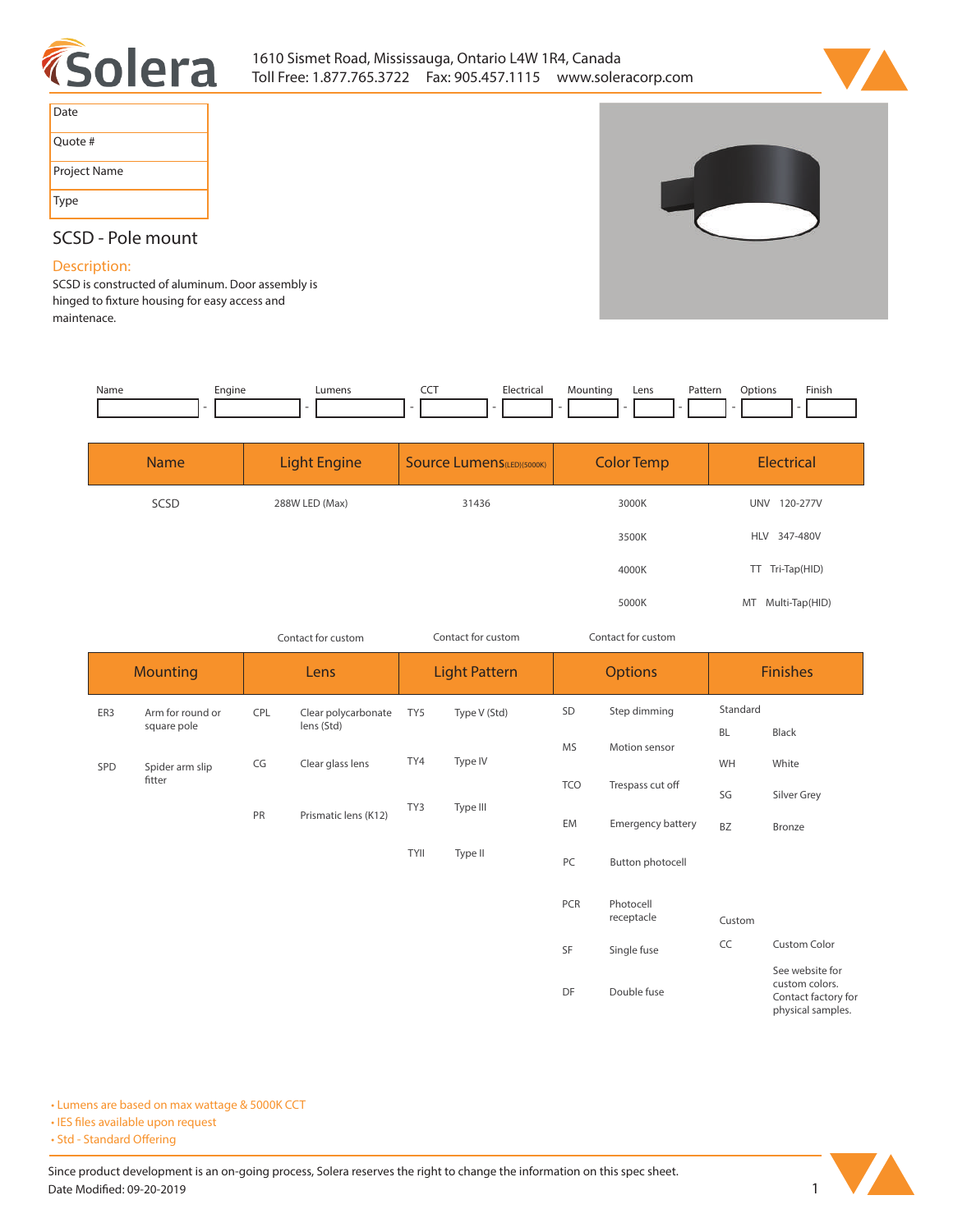



| Date         |
|--------------|
| Ouote #      |
| Project Name |
| Type         |



# **SCSD - Pole mount**

## **Description:**

**SCSD is constructed of aluminum. Door assembly is**  hinged to fixture housing for easy access and **maintenace.** 

| Name | Engine<br><u>т</u> | umens. | $ -$ | ·lectrical<br>. | mur | Lens | tori<br>atter.<br>. | Jptions | Finish |
|------|--------------------|--------|------|-----------------|-----|------|---------------------|---------|--------|
|      |                    |        |      |                 |     |      |                     |         |        |

| <b>Name</b> | Light Engine   | <b>Source Lumens</b> (LED)(5000K) | <b>Color Temp</b> | Electrical             |
|-------------|----------------|-----------------------------------|-------------------|------------------------|
| SCSD        | 288W LED (Max) | 31436                             | 3000K             | 120-277V<br><b>UNV</b> |
|             |                |                                   | 3500K             | <b>HLV</b><br>347-480V |
|             |                |                                   | 4000K             | TT Tri-Tap(HID)        |
|             |                |                                   | 5000K             | Multi-Tap(HID)<br>MT   |

*Contact for custom Contact for custom*

*Contact for custom*

|        | <b>Mounting</b>                 |                                                                                | Lens                              |             | <b>Light Pattern</b> |     | <b>Options</b>           |           | <b>Finishes</b>                                                               |  |
|--------|---------------------------------|--------------------------------------------------------------------------------|-----------------------------------|-------------|----------------------|-----|--------------------------|-----------|-------------------------------------------------------------------------------|--|
| ER3    | Arm for round or<br>square pole | CPL                                                                            | Clear polycarbonate<br>lens (Std) | TY5         | Type V (Std)         | SD  | Step dimming             | Standard  |                                                                               |  |
|        |                                 |                                                                                |                                   |             |                      | MS  | Motion sensor            | <b>BL</b> | Black                                                                         |  |
| SPD    | Spider arm slip                 | TY4<br>Clear glass lens<br>CG<br>TY3<br>Type III<br>PR<br>Prismatic lens (K12) |                                   |             | Type IV              |     |                          | WH        | White                                                                         |  |
| fitter |                                 |                                                                                |                                   | <b>TCO</b>  | Trespass cut off     | SG  | Silver Grey              |           |                                                                               |  |
|        |                                 |                                                                                |                                   |             |                      | EM  | <b>Emergency battery</b> | <b>BZ</b> | Bronze                                                                        |  |
|        |                                 |                                                                                |                                   | <b>TYII</b> | Type II              | PC  | Button photocell         |           |                                                                               |  |
|        |                                 |                                                                                |                                   |             |                      | PCR | Photocell                |           |                                                                               |  |
|        |                                 |                                                                                |                                   |             |                      |     | receptacle               | Custom    |                                                                               |  |
|        |                                 |                                                                                |                                   |             |                      | SF  | Single fuse              | CC        | Custom Color                                                                  |  |
|        |                                 |                                                                                |                                   |             |                      | DF  | Double fuse              |           | See website for<br>custom colors.<br>Contact factory for<br>physical samples. |  |

**• Lumens are based on max wattage & 5000K CCT**

**• IES files available upon request** 

• Std - Standard Offering

Since product development is an on-going process, Solera reserves the right to change the information on this spec sheet. **Date Modified: 09-20-2019** 1